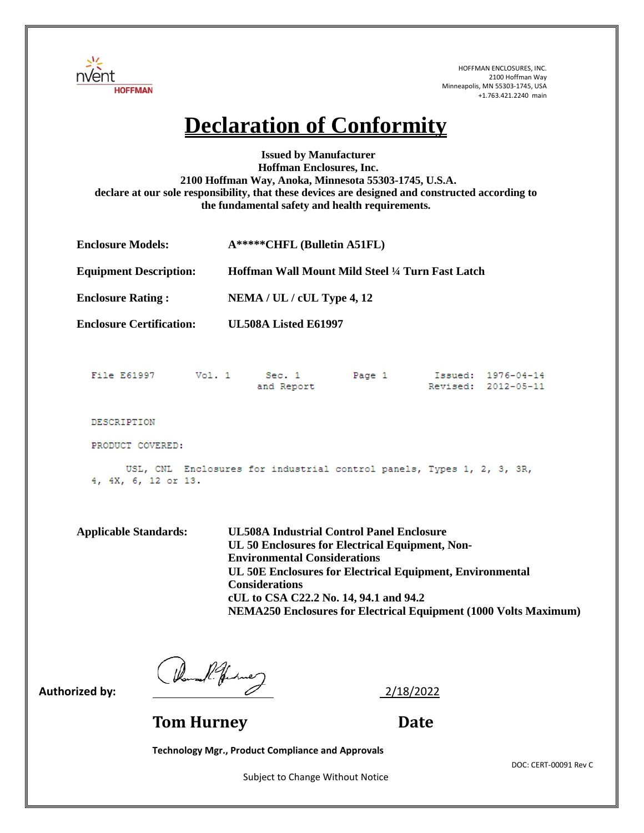

## **Declaration of Conformity**

**Issued by Manufacturer Hoffman Enclosures, Inc. 2100 Hoffman Way, Anoka, Minnesota 55303-1745, U.S.A. declare at our sole responsibility, that these devices are designed and constructed according to the fundamental safety and health requirements.** 

| <b>Enclosure Models:</b>      | $A****CHFL$ (Bulletin A51FL)                    |
|-------------------------------|-------------------------------------------------|
| <b>Equipment Description:</b> | Hoffman Wall Mount Mild Steel ¼ Turn Fast Latch |
| <b>Enclosure Rating:</b>      | $NEMA / UL / cUL$ Type 4, 12                    |

**Enclosure Certification: UL508A Listed E61997** 

|                  | File E61997 |  | Vol. 1 |  | Sec. 1<br>and Report                                                  | Page 1 |  | Issued: 1976-04-14<br>Revised: 2012-05-11 |  |  |
|------------------|-------------|--|--------|--|-----------------------------------------------------------------------|--------|--|-------------------------------------------|--|--|
|                  | DESCRIPTION |  |        |  |                                                                       |        |  |                                           |  |  |
| PRODUCT COVERED: |             |  |        |  |                                                                       |        |  |                                           |  |  |
|                  |             |  |        |  | USL, CNL Enclosures for industrial control panels, Types 1, 2, 3, 3R, |        |  |                                           |  |  |

4, 4X, 6, 12 or 13.

**Applicable Standards: UL508A Industrial Control Panel Enclosure UL 50 Enclosures for Electrical Equipment, Non-Environmental Considerations UL 50E Enclosures for Electrical Equipment, Environmental Considerations cUL to CSA C22.2 No. 14, 94.1 and 94.2 NEMA250 Enclosures for Electrical Equipment (1000 Volts Maximum)**

Authorized by:  $\frac{1}{2}/18/2022}$ 

**Tom Hurney Date** 

**Technology Mgr., Product Compliance and Approvals**

Subject to Change Without Notice

DOC: CERT-00091 Rev C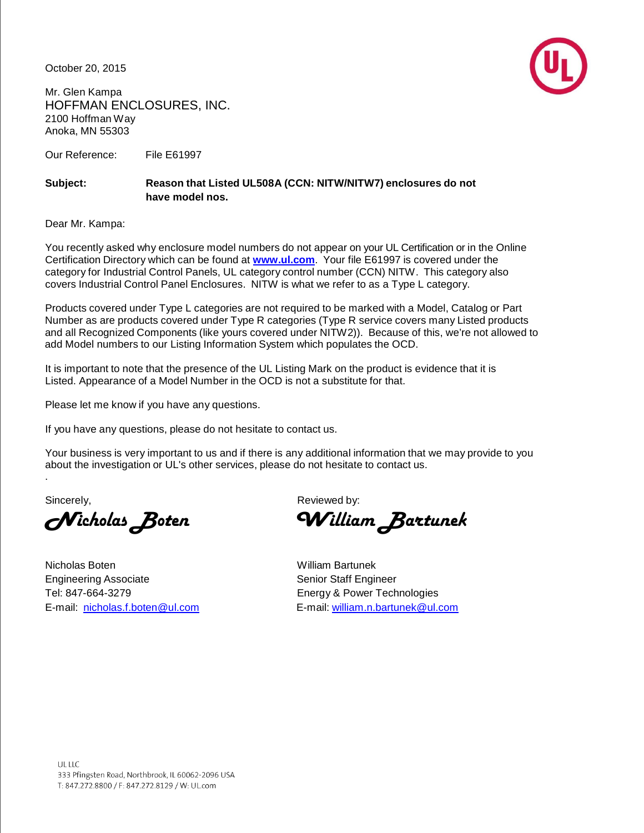October 20, 2015



Mr. Glen Kampa HOFFMAN ENCLOSURES, INC. 2100 Hoffman Way Anoka, MN 55303

Our Reference: File E61997

## **Subject: Reason that Listed UL508A (CCN: NITW/NITW7) enclosures do not have model nos.**

Dear Mr. Kampa:

You recently asked why enclosure model numbers do not appear on your UL Certification or in the Online Certification Directory which can be found at **[www.ul.com](http://www.ul.com/)**. Your file E61997 is covered under the category for Industrial Control Panels, UL category control number (CCN) NITW. This category also covers Industrial Control Panel Enclosures. NITW is what we refer to as a Type L category.

Products covered under Type L categories are not required to be marked with a Model, Catalog or Part Number as are products covered under Type R categories (Type R service covers many Listed products and all Recognized Components (like yours covered under NITW2)). Because of this, we're not allowed to add Model numbers to our Listing Information System which populates the OCD.

It is important to note that the presence of the UL Listing Mark on the product is evidence that it is Listed. Appearance of a Model Number in the OCD is not a substitute for that.

Please let me know if you have any questions.

If you have any questions, please do not hesitate to contact us.

Your business is very important to us and if there is any additional information that we may provide to you about the investigation or UL's other services, please do not hesitate to contact us.

.

Nicholas Boten William Bartunek Engineering Associate Senior Staff Engineer Tel: 847-664-3279 Energy & Power Technologies

Sincerely, Sincerely,  $\mathsf{Re}(\mathsf{Re}(\mathsf{Re}(\mathsf{Re}(\mathsf{Re}(\mathsf{Re}(\mathsf{Re}(\mathsf{Re}(\mathsf{Re}(\mathsf{Re}(\mathsf{Re}(\mathsf{Re}(\mathsf{Re}(\mathsf{Re}(\mathsf{Re}(\mathsf{Re}(\mathsf{Re}(\mathsf{Re}(\mathsf{Re}(\mathsf{Re}(\mathsf{Re}(\mathsf{Re}(\mathsf{Re}(\mathsf{Re}(\mathsf{Re}(\mathsf{Re}(\mathsf{Re}(\mathsf{Re}(\mathsf{Re}(\mathsf{Re}(\mathsf{Re}(\mathsf{Re}(\mathsf{Re}(\$ 

Nicholas BotenWilliam Bartunek

E-mail: nicholas.[f.boten@ul.com](mailto:boten@ul.com) E-mail: william.[n.bartunek@ul.com](mailto:bartunek@ul.com)